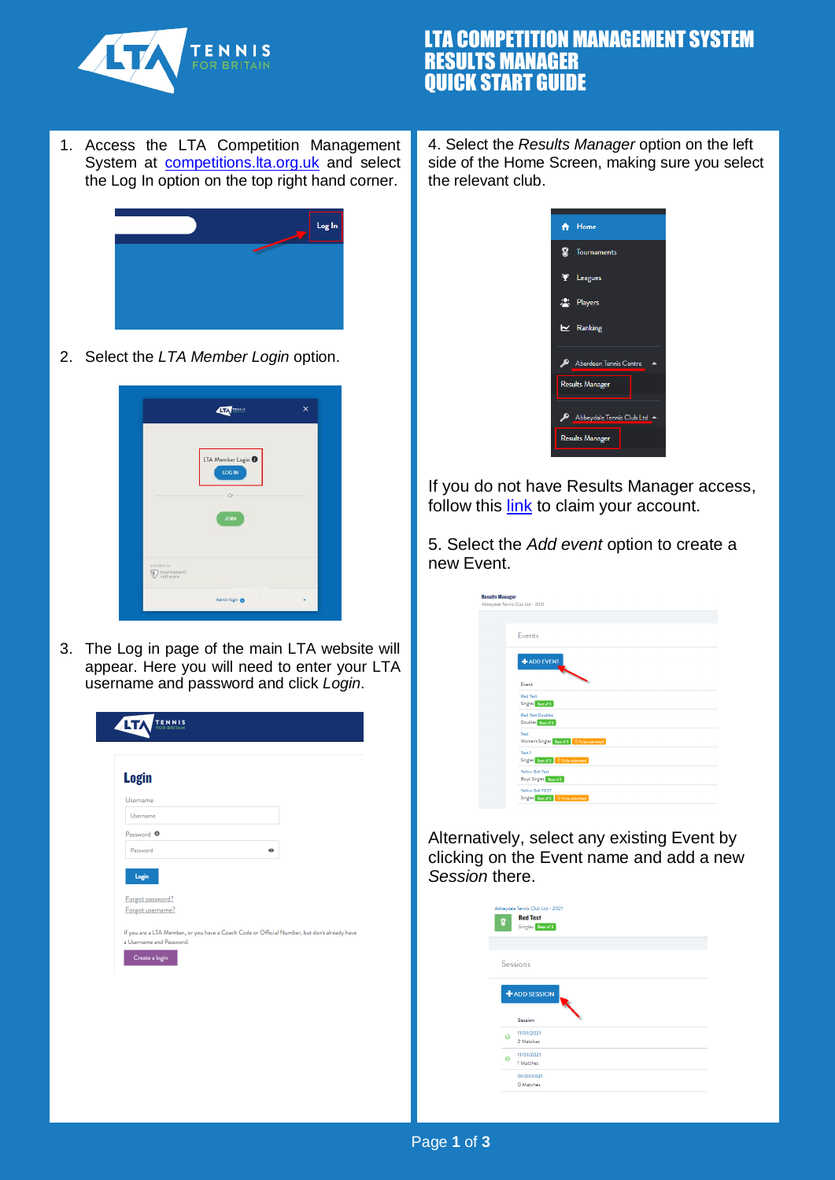

# LTA COMPETITION MANAGEMENT SYSTEM RESULTS MANAGER QUICK START GUIDE

1. Access the LTA Competition Management System at [competitions.lta.org.uk](https://competitions.lta.org.uk/) and select the Log In option on the top right hand corner.



2. Select the *LTA Member Login* option.



3. The Log in page of the main LTA website will appear. Here you will need to enter your LTA username and password and click *Login*.

| <b>Login</b>                         |                                                                                              |           |  |
|--------------------------------------|----------------------------------------------------------------------------------------------|-----------|--|
| Username<br>Username                 |                                                                                              |           |  |
| Password <sup>O</sup>                |                                                                                              |           |  |
| Password                             |                                                                                              | $\bullet$ |  |
| Forgot password?<br>Forgot username? |                                                                                              |           |  |
| a Username and Password.             | If you are a LTA Member, or you have a Coach Code or Official Number, but don't already have |           |  |
| Create a login                       |                                                                                              |           |  |
|                                      |                                                                                              |           |  |

4. Select the *Results Manager* option on the left side of the Home Screen, making sure you select the relevant club.

| <del>n</del> Home         |
|---------------------------|
| <b>S</b> Tournaments      |
| Y Leagues                 |
| <sup>(9)</sup> Players    |
| $\mathbf{r}$ Ranking      |
| Aberdeen Tennis Centre    |
| <b>Results Manager</b>    |
| Abbeydale Tennis Club Ltd |
| <b>Results Manager</b>    |

If you do not have Results Manager access, follow this [link](https://www.lta.org.uk/workforce-venues/officiate-tennis/competition-organiser-resources/results-manager/) to claim your account.

5. Select the *Add event* option to create a new Event.

| <b>Results Manager</b> | Abbeydale Tennis Club Ltd - 2021                          |
|------------------------|-----------------------------------------------------------|
|                        | <b>Fvents</b>                                             |
|                        | ADD EVENT<br>Event                                        |
|                        | <b>Red Test</b><br>Singles Best of 3                      |
|                        | <b>Red Test Doubles</b><br>Doubles Bost of 3              |
|                        | Test<br>Women's Singles Best of 3 © To be submitted       |
|                        | Test 1<br>Singles Best of 3 O To be submitted             |
|                        | <b>Yellow Ball Test</b><br>Boys' Singles Best of 3        |
|                        | Yellow Ball TEST<br>Singles Best of 3   © To be submitted |

Alternatively, select any existing Event by clicking on the Event name and add a new *Session* there.

| 8 | Abbeydale Tennis Club Ltd - 2021<br><b>Red Test</b><br>Singles Best of 3 |  |
|---|--------------------------------------------------------------------------|--|
|   |                                                                          |  |
|   | <b>Sessions</b>                                                          |  |
|   |                                                                          |  |
|   |                                                                          |  |
|   |                                                                          |  |
|   | <b>ADD SESSION</b>                                                       |  |
|   | Session                                                                  |  |
|   | 11/01/2021                                                               |  |
| 0 | 2 Matches                                                                |  |
|   | 11/01/2021                                                               |  |
| Ø | 1 Matches                                                                |  |
|   | 01/01/2021                                                               |  |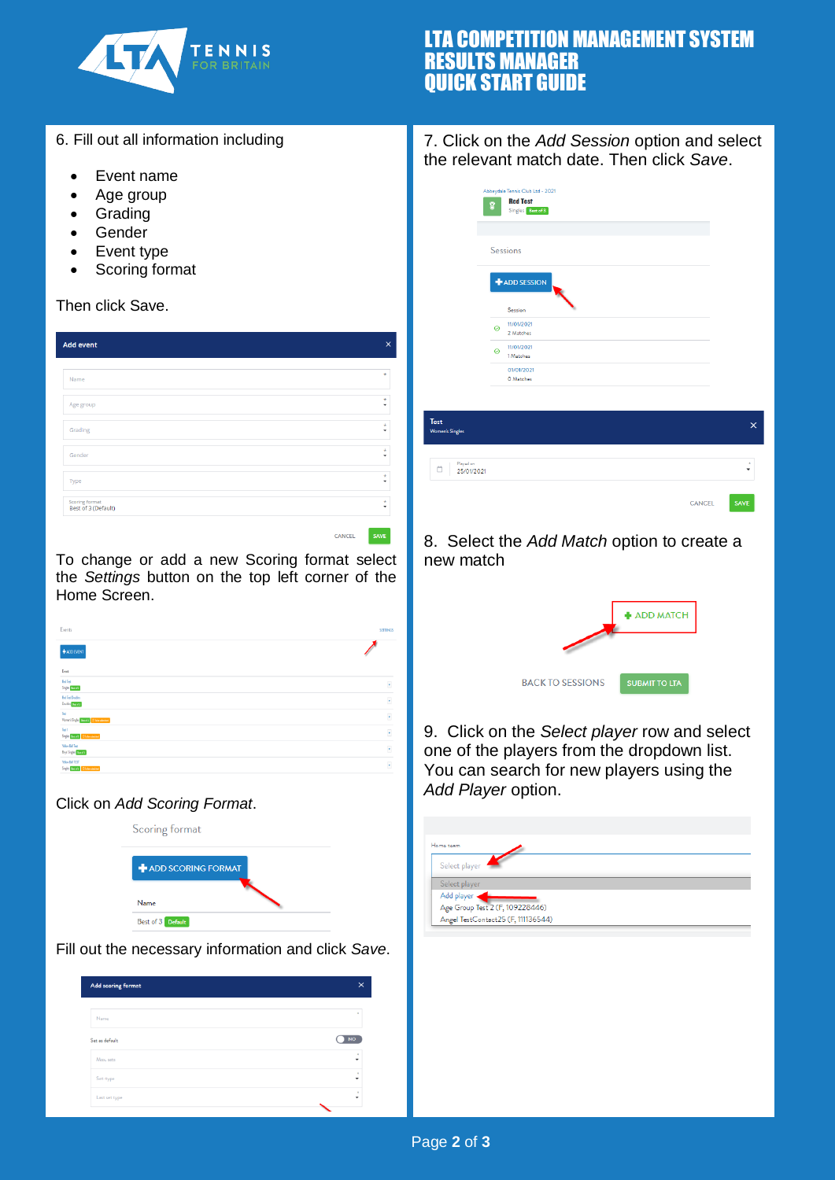

# LTA COMPETITION MANAGEMENT SYSTEM RESULTS MANAGER QUICK START GUIDE

- 6. Fill out all information including
	- Event name
	- Age group
	- Grading
	- Gender
	- Event type
	- Scoring format

#### Then click Save.

| <b>Add event</b>                      | $\times$     |
|---------------------------------------|--------------|
| Name                                  | $\pm$        |
| Age group                             | $\star$<br>٠ |
| Grading                               | ÷<br>٠       |
| Gender                                | $\star$<br>٠ |
| Type                                  | $\star$<br>٠ |
| Scoring format<br>Best of 3 (Default) | ÷            |

CANCEL SAVE

To change or add a new Scoring format select the *Settings* button on the top left corner of the Home Screen.

| Events                                       | <b>SETTINGS</b>          |
|----------------------------------------------|--------------------------|
| <b>+ADD EVENT</b>                            |                          |
| Event                                        |                          |
| <b>Red Test</b><br>Sigle Benda               | $\bullet$                |
| <b>Red Test Doubles</b><br>Doubles Banel 3   | $\bullet$                |
| Test<br>Horen's Singles Bandia G Manufacture | $\overline{\phantom{a}}$ |
| Test1<br>Sigis Benda (Shimatekse)            | $\overline{\phantom{a}}$ |
| Yellow Ball Test<br>Boys' Singles Beautif    | $\overline{\phantom{a}}$ |
| Yellow Ball TEST<br>Sigis Benda Ghandelesel  | $\overline{\phantom{a}}$ |

#### Click on *Add Scoring Format*.

| Scoring format     |  |
|--------------------|--|
| ADD SCORING FORMAT |  |
| Name               |  |
| Best of 3 Default  |  |

Fill out the necessary information and click *Save*.

| Add scoring format | ×         |
|--------------------|-----------|
| Name               |           |
| Set as default     | <b>NO</b> |
| Max. sets          | ٠         |
| Set-type           | ×<br>٠    |
| Last set type      | ٠<br>٠    |

### 7. Click on the *Add Session* option and select the relevant match date. Then click *Save*.

| $\bf 8$ | <b>Red Test</b><br>Singles Best of 3 |  |
|---------|--------------------------------------|--|
|         |                                      |  |
|         | <b>Sessions</b>                      |  |
|         |                                      |  |
|         |                                      |  |
|         | ADD SESSION                          |  |
|         | Session                              |  |
|         | 11/01/2021                           |  |
| ◎       | 2 Matches                            |  |
|         | 11/01/2021                           |  |
| $\circ$ | 1 Matches                            |  |
|         | 01/01/2021                           |  |

| Test<br>Women's Singles      |               | $\times$ |
|------------------------------|---------------|----------|
| Played on<br>25/01/2021<br>Ö |               | ×<br>٠   |
|                              | <b>CANCEL</b> | SAVE     |

### 8. Select the *Add Match* option to create a new match



9. Click on the *Select player* row and select one of the players from the dropdown list. You can search for new players using the *Add Player* option.

| Home team                          |  |  |
|------------------------------------|--|--|
| Select player                      |  |  |
| Select player                      |  |  |
| Add player                         |  |  |
| Age Group Test 2 (F, 109228446)    |  |  |
| Angel TestContact25 (F, 111136544) |  |  |